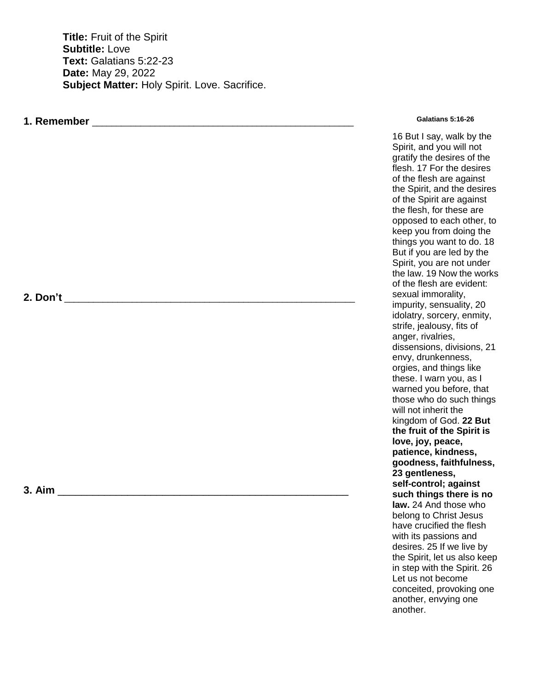**Title:** Fruit of the Spirit **Subtitle:** Love **Text:** Galatians 5:22-23 **Date:** May 29, 2022 **Subject Matter:** Holy Spirit. Love. Sacrifice.

## **1. Remember** \_\_\_\_\_\_\_\_\_\_\_\_\_\_\_\_\_\_\_\_\_\_\_\_\_\_\_\_\_\_\_\_\_\_\_\_\_\_\_\_\_\_\_\_\_\_\_\_\_\_\_\_\_\_

## **Galatians 5:16-26**

16 But I say, walk by the Spirit, and you will not gratify the desires of the flesh. 17 For the desires of the flesh are against the Spirit, and the desires of the Spirit are against the flesh, for these are opposed to each other, to keep you from doing the things you want to do. 18 But if you are led by the Spirit, you are not under the law. 19 Now the works of the flesh are evident: sexual immorality, impurity, sensuality, 20 idolatry, sorcery, enmity, strife, jealousy, fits of anger, rivalries, dissensions, divisions, 21 envy, drunkenness, orgies, and things like these. I warn you, as I warned you before, that those who do such things will not inherit the kingdom of God. **22 But the fruit of the Spirit is love, joy, peace, patience, kindness, goodness, faithfulness, 23 gentleness, self-control; against such things there is no law.** 24 And those who belong to Christ Jesus have crucified the flesh with its passions and desires. 25 If we live by the Spirit, let us also keep in step with the Spirit. 26 Let us not become conceited, provoking one another, envying one another.

## **2. Don't** \_\_\_\_\_\_\_\_\_\_\_\_\_\_\_\_\_\_\_\_\_\_\_\_\_\_\_\_\_\_\_\_\_\_\_\_\_\_\_\_\_\_\_\_\_\_\_\_\_\_\_\_\_\_\_\_\_\_\_\_

**3. Aim b 1.** *a* **<b>1.** *a* **1.** *a* **<b>1.** *a* **1.** *a* **1.** *a* **1.** *a* **1.** *a* **1.** *a* **1.** *a*